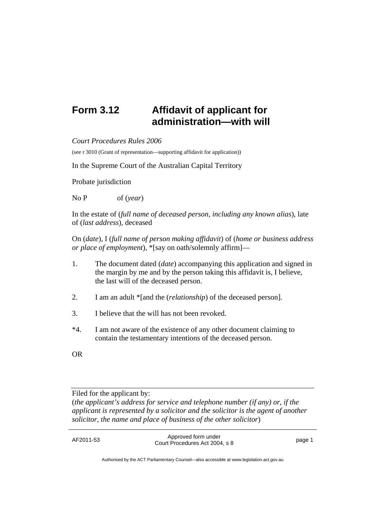## **Form 3.12 Affidavit of applicant for administration—with will**

*Court Procedures Rules 2006* 

(see r 3010 (Grant of representation—supporting affidavit for application))

In the Supreme Court of the Australian Capital Territory

Probate jurisdiction

No P of (*year*)

In the estate of (*full name of deceased person, including any known alias*), late of (*last address*)*,* deceased

On (*date*), I (*full name of person making affidavit*) of (*home or business address or place of employment*), \*[say on oath/solemnly affirm]—

- 1. The document dated (*date*) accompanying this application and signed in the margin by me and by the person taking this affidavit is, I believe, the last will of the deceased person.
- 2. I am an adult \*[and the (*relationship*) of the deceased person].
- 3. I believe that the will has not been revoked.
- \*4. I am not aware of the existence of any other document claiming to contain the testamentary intentions of the deceased person.
- OR

Filed for the applicant by: (*the applicant's address for service and telephone number (if any) or*, *if the applicant is represented by a solicitor and the solicitor is the agent of another solicitor, the name and place of business of the other solicitor*)

AF2011-53 Approved form under Proved form and enterprise the state of the page 1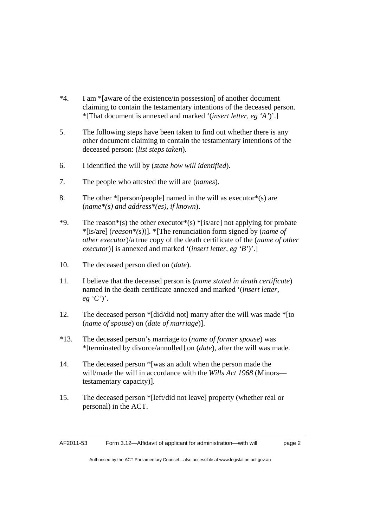- \*4. I am \*[aware of the existence/in possession] of another document claiming to contain the testamentary intentions of the deceased person. \*[That document is annexed and marked '(*insert letter, eg 'A'*)'.]
- 5. The following steps have been taken to find out whether there is any other document claiming to contain the testamentary intentions of the deceased person: (*list steps taken*).
- 6. I identified the will by (*state how will identified*).
- 7. The people who attested the will are (*names*).
- 8. The other  $*$ [person/people] named in the will as executor $*$ (s) are (*name\*(s) and address\*(es), if known*).
- \*9. The reason\*(s) the other executor\*(s) \*[is/are] not applying for probate \*[is/are] (*reason\*(s)*)]*.* \*[The renunciation form signed by (*name of other executor*)/a true copy of the death certificate of the (*name of other executor*)] is annexed and marked '(*insert letter, eg 'B'*)'.]
- 10. The deceased person died on (*date*).
- 11. I believe that the deceased person is (*name stated in death certificate*) named in the death certificate annexed and marked '(*insert letter, eg 'C'*)'.
- 12. The deceased person \*[did/did not] marry after the will was made \*[to (*name of spouse*) on (*date of marriage*)].
- \*13. The deceased person's marriage to (*name of former spouse*) was \*[terminated by divorce/annulled] on (*date*), after the will was made.
- 14. The deceased person \*[was an adult when the person made the will/made the will in accordance with the *Wills Act 1968* (Minors testamentary capacity)].
- 15. The deceased person \*[left/did not leave] property (whether real or personal) in the ACT.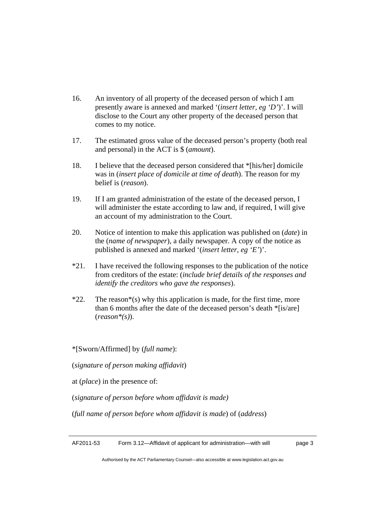- 16. An inventory of all property of the deceased person of which I am presently aware is annexed and marked '(*insert letter, eg 'D'*)'. I will disclose to the Court any other property of the deceased person that comes to my notice.
- 17. The estimated gross value of the deceased person's property (both real and personal) in the ACT is \$ (*amount*).
- 18. I believe that the deceased person considered that \*[his/her] domicile was in (*insert place of domicile at time of death*). The reason for my belief is (*reason*).
- 19. If I am granted administration of the estate of the deceased person, I will administer the estate according to law and, if required, I will give an account of my administration to the Court.
- 20. Notice of intention to make this application was published on (*date*) in the (*name of newspaper*), a daily newspaper. A copy of the notice as published is annexed and marked '(*insert letter, eg 'E'*)'.
- \*21. I have received the following responses to the publication of the notice from creditors of the estate: (*include brief details of the responses and identify the creditors who gave the responses*).
- $*22$ . The reason $*(s)$  why this application is made, for the first time, more than 6 months after the date of the deceased person's death \*[is/are] (*reason\*(s)*).

\*[Sworn/Affirmed] by (*full name*):

(*signature of person making affidavit*)

at (*place*) in the presence of:

(*signature of person before whom affidavit is made)* 

(*full name of person before whom affidavit is made*) of (*address*)

AF2011-53 Form 3.12—Affidavit of applicant for administration—with will page 3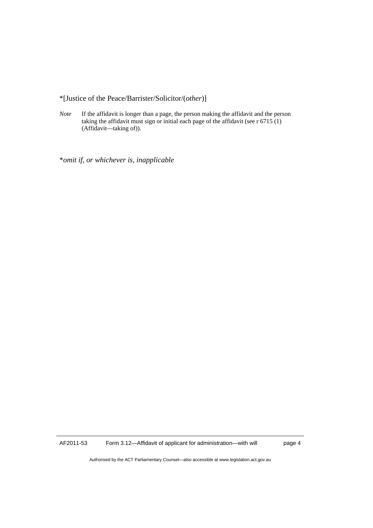\*[Justice of the Peace/Barrister/Solicitor/(*other*)]

*Note* If the affidavit is longer than a page, the person making the affidavit and the person taking the affidavit must sign or initial each page of the affidavit (see r 6715 (1) (Affidavit—taking of)).

\**omit if, or whichever is, inapplicable*